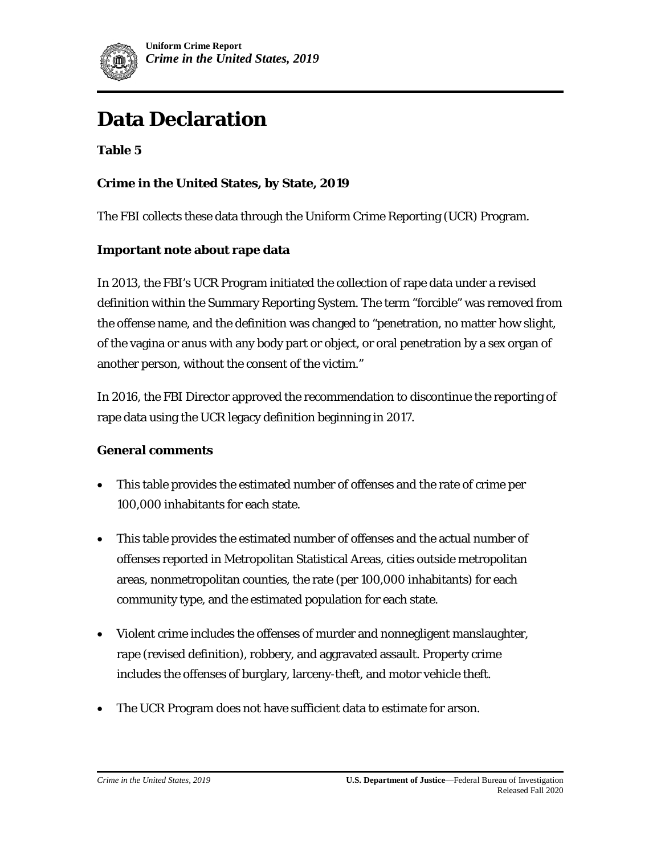

# **Data Declaration**

**Table 5** 

## **Crime in the United States, by State, 2019**

The FBI collects these data through the Uniform Crime Reporting (UCR) Program.

#### **Important note about rape data**

In 2013, the FBI's UCR Program initiated the collection of rape data under a revised definition within the Summary Reporting System. The term "forcible" was removed from the offense name, and the definition was changed to "penetration, no matter how slight, of the vagina or anus with any body part or object, or oral penetration by a sex organ of another person, without the consent of the victim."

In 2016, the FBI Director approved the recommendation to discontinue the reporting of rape data using the UCR legacy definition beginning in 2017.

#### **General comments**

- This table provides the estimated number of offenses and the rate of crime per 100,000 inhabitants for each state.
- This table provides the estimated number of offenses and the actual number of offenses reported in Metropolitan Statistical Areas, cities outside metropolitan areas, nonmetropolitan counties, the rate (per 100,000 inhabitants) for each community type, and the estimated population for each state.
- Violent crime includes the offenses of murder and nonnegligent manslaughter, rape (revised definition), robbery, and aggravated assault. Property crime includes the offenses of burglary, larceny-theft, and motor vehicle theft.
- The UCR Program does not have sufficient data to estimate for arson.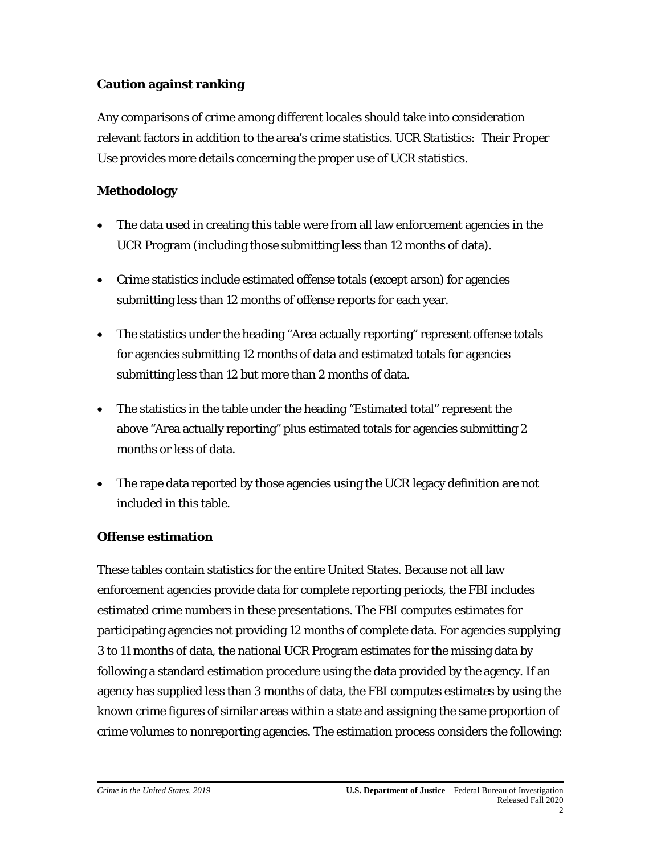## **Caution against ranking**

Any comparisons of crime among different locales should take into consideration relevant factors in addition to the area's crime statistics. *UCR Statistics: Their Proper Use* provides more details concerning the proper use of UCR statistics.

## **Methodology**

- The data used in creating this table were from all law enforcement agencies in the UCR Program (including those submitting less than 12 months of data).
- Crime statistics include estimated offense totals (except arson) for agencies submitting less than 12 months of offense reports for each year.
- The statistics under the heading "Area actually reporting" represent offense totals for agencies submitting 12 months of data and estimated totals for agencies submitting less than 12 but more than 2 months of data.
- The statistics in the table under the heading "Estimated total" represent the above "Area actually reporting" plus estimated totals for agencies submitting 2 months or less of data.
- The rape data reported by those agencies using the UCR legacy definition are not included in this table.

#### **Offense estimation**

These tables contain statistics for the entire United States. Because not all law enforcement agencies provide data for complete reporting periods, the FBI includes estimated crime numbers in these presentations. The FBI computes estimates for participating agencies not providing 12 months of complete data. For agencies supplying 3 to 11 months of data, the national UCR Program estimates for the missing data by following a standard estimation procedure using the data provided by the agency. If an agency has supplied less than 3 months of data, the FBI computes estimates by using the known crime figures of similar areas within a state and assigning the same proportion of crime volumes to nonreporting agencies. The estimation process considers the following: